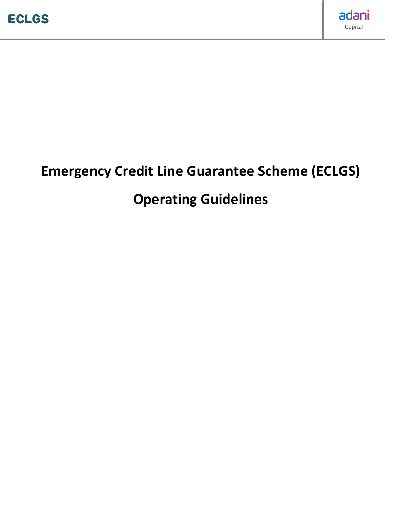

# Emergency Credit Line Guarantee Scheme (ECLGS)

# Operating Guidelines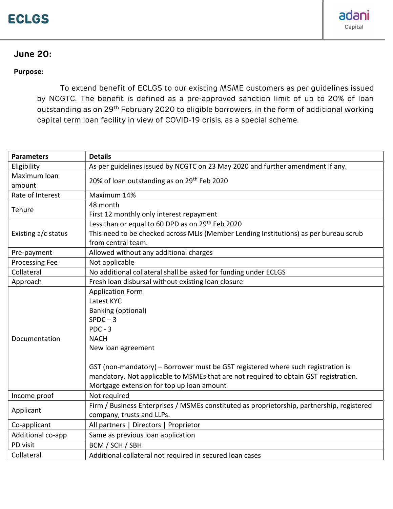

# June 20:

#### Purpose:

To extend benefit of ECLGS to our existing MSME customers as per guidelines issued by NCGTC. The benefit is defined as a pre-approved sanction limit of up to 20% of loan outstanding as on 29<sup>th</sup> February 2020 to eligible borrowers, in the form of additional working capital term loan facility in view of COVID-19 crisis, as a special scheme.

| <b>Parameters</b>      | <b>Details</b>                                                                             |
|------------------------|--------------------------------------------------------------------------------------------|
| Eligibility            | As per guidelines issued by NCGTC on 23 May 2020 and further amendment if any.             |
| Maximum loan<br>amount | 20% of loan outstanding as on 29 <sup>th</sup> Feb 2020                                    |
| Rate of Interest       | Maximum 14%                                                                                |
| Tenure                 | 48 month                                                                                   |
|                        | First 12 monthly only interest repayment                                                   |
| Existing a/c status    | Less than or equal to 60 DPD as on 29 <sup>th</sup> Feb 2020                               |
|                        | This need to be checked across MLIs (Member Lending Institutions) as per bureau scrub      |
|                        | from central team.                                                                         |
| Pre-payment            | Allowed without any additional charges                                                     |
| Processing Fee         | Not applicable                                                                             |
| Collateral             | No additional collateral shall be asked for funding under ECLGS                            |
| Approach               | Fresh loan disbursal without existing loan closure                                         |
| Documentation          | <b>Application Form</b>                                                                    |
|                        | Latest KYC                                                                                 |
|                        | <b>Banking (optional)</b>                                                                  |
|                        | $SPDC - 3$                                                                                 |
|                        | $PDC - 3$                                                                                  |
|                        | <b>NACH</b>                                                                                |
|                        | New loan agreement                                                                         |
|                        |                                                                                            |
|                        | GST (non-mandatory) - Borrower must be GST registered where such registration is           |
|                        | mandatory. Not applicable to MSMEs that are not required to obtain GST registration.       |
|                        | Mortgage extension for top up loan amount                                                  |
| Income proof           | Not required                                                                               |
| Applicant              | Firm / Business Enterprises / MSMEs constituted as proprietorship, partnership, registered |
|                        | company, trusts and LLPs.                                                                  |
| Co-applicant           | All partners   Directors   Proprietor                                                      |
| Additional co-app      | Same as previous loan application                                                          |
| PD visit               | BCM / SCH / SBH                                                                            |
| Collateral             | Additional collateral not required in secured loan cases                                   |